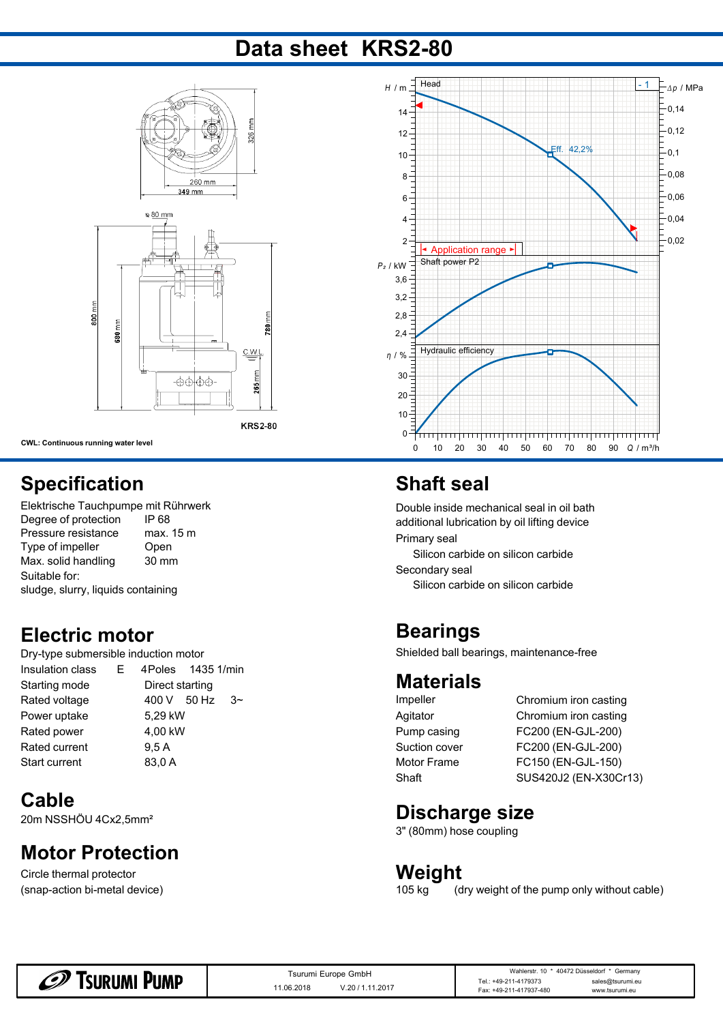## **Data sheet KRS2-80**



**KRS2-80** 

**CWL: Continuous running water level**

800 mm

### **Specification**

| Elektrische Tauchpumpe mit Rührwerk                      |           | Double inside mechanical     |  |  |
|----------------------------------------------------------|-----------|------------------------------|--|--|
| Degree of protection                                     | IP 68     | additional lubrication by oi |  |  |
| Pressure resistance                                      | max. 15 m | Primary seal                 |  |  |
| Type of impeller<br>Open<br>Max. solid handling<br>30 mm |           | Silicon carbide on silic     |  |  |
|                                                          |           | Secondary seal               |  |  |
| Suitable for:                                            |           |                              |  |  |
| sludge, slurry, liquids containing                       |           | Silicon carbide on silic     |  |  |

#### **Electric motor**

| Dry-type submersible induction motor |                           |                        | Shielded ball bearings, mainten |       |  |
|--------------------------------------|---------------------------|------------------------|---------------------------------|-------|--|
| Insulation class                     | 1435 1/min<br>4Poles<br>Е |                        |                                 |       |  |
| Starting mode                        |                           | Direct starting        | <b>Materials</b>                |       |  |
| Rated voltage                        |                           | 50 Hz<br>400 V<br>$3-$ | Impeller                        | Chrom |  |
| Power uptake                         |                           | 5.29 kW                | Agitator                        | Chrom |  |
| Rated power                          |                           | 4,00 kW                | Pump casing                     | FC200 |  |
| Rated current                        |                           | 9.5 A                  | Suction cover                   | FC200 |  |
| Start current                        |                           | 83,0 A                 | Motor Frame                     | FC150 |  |
|                                      |                           |                        |                                 |       |  |

#### **Cable Cable Cable Cable Cable Cable Cable Cable Cable Cable Cable Cable Cable Cable Cable Cable Cable Cable Cable Cable Cable Cable Cable Cable Cable Cable Cable Cable**

20m NSSHÖU 4Cx2,5mm²

#### **Motor Protection**

(snap-action bi-metal device) Circle thermal protector



## **Shaft seal**

Double inside mechanical seal in oil bath additional lubrication by oil lifting device max. 15 m<br>  $\sum_{n=1}^{\infty}$  max. 15 m

Silicon carbide on silicon carbide

Silicon carbide on silicon carbide

#### **Bearings**

Shielded ball bearings, maintenance-free

#### **Materials**

Pump casing

Impeller Chromium iron casting Agitator Chromium iron casting Pump casing FC200 (EN-GJL-200) Suction cover FC200 (EN-GJL-200) Motor Frame FC150 (EN-GJL-150) Shaft SUS420J2 (EN-X30Cr13)

#### **Discharge size**

3" (80mm) hose coupling

# **Weight**

(dry weight of the pump only without cable)

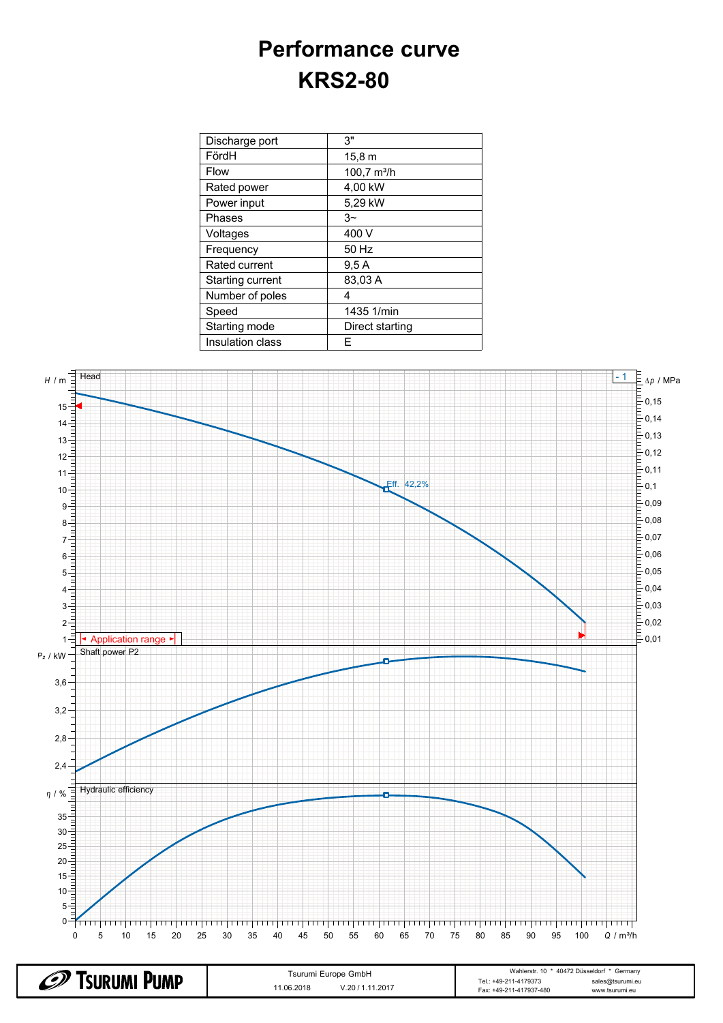# **Performance curve KRS2-80**

| Discharge port   | 3"                    |  |
|------------------|-----------------------|--|
| FördH            | 15.8 m                |  |
| <b>Flow</b>      | $100,7 \text{ m}^3/h$ |  |
| Rated power      | 4,00 kW               |  |
| Power input      | 5,29 kW               |  |
| Phases           | $3~\sim$              |  |
| Voltages         | 400 V                 |  |
| Frequency        | 50 Hz                 |  |
| Rated current    | 9,5A                  |  |
| Starting current | 83,03 A               |  |
| Number of poles  | 4                     |  |
| Speed            | 1435 1/min            |  |
| Starting mode    | Direct starting       |  |
| Insulation class | E                     |  |



| D)<br>Tsurumi Pump | Tsurumi Europe GmbH           | Wahlerstr, 10 * 40472 Düsseldorf * Germany                                                 |  |  |
|--------------------|-------------------------------|--------------------------------------------------------------------------------------------|--|--|
|                    | V.20 / 1.11.2017<br>1.06.2018 | : +49-211-4179373<br>Tel.<br>sales@tsurumi.eu<br>Fax: +49-211-417937-480<br>www.tsurumi.eu |  |  |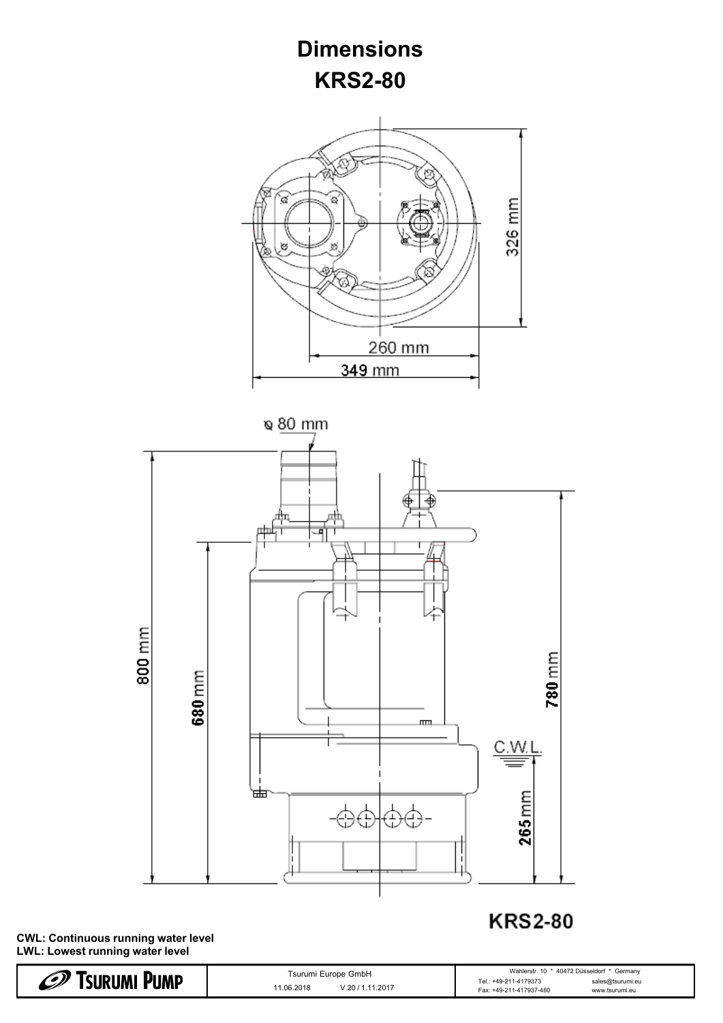

**CWL: Continuous running water level LWL: Lowest running water level**

| $\mathscr{D}$<br><b><i>FSURUMI PUMP</i></b> | Tsurumi Europe GmbH           | Wahlerstr. 10 * 40472 Düsseldorf * Germany                                             |  |  |
|---------------------------------------------|-------------------------------|----------------------------------------------------------------------------------------|--|--|
|                                             | V.20 / 1.11.2017<br>1.06.2018 | sales@tsurumi.eu<br>Tel.: +49-211-4179373<br>Fax: +49-211-417937-480<br>www.tsurumi.eu |  |  |